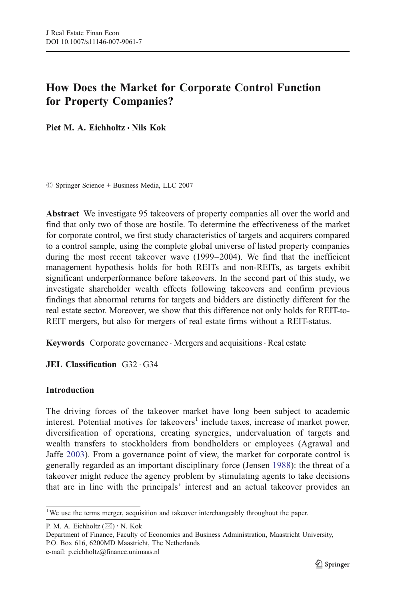# How Does the Market for Corporate Control Function for Property Companies?

Piet M. A. Eichholtz · Nils Kok

 $\oslash$  Springer Science + Business Media, LLC 2007

Abstract We investigate 95 takeovers of property companies all over the world and find that only two of those are hostile. To determine the effectiveness of the market for corporate control, we first study characteristics of targets and acquirers compared to a control sample, using the complete global universe of listed property companies during the most recent takeover wave (1999–2004). We find that the inefficient management hypothesis holds for both REITs and non-REITs, as targets exhibit significant underperformance before takeovers. In the second part of this study, we investigate shareholder wealth effects following takeovers and confirm previous findings that abnormal returns for targets and bidders are distinctly different for the real estate sector. Moreover, we show that this difference not only holds for REIT-to-REIT mergers, but also for mergers of real estate firms without a REIT-status.

Keywords Corporate governance . Mergers and acquisitions . Real estate

# JEL Classification G32 . G34

# Introduction

The driving forces of the takeover market have long been subject to academic interest. Potential motives for takeovers<sup>1</sup> include taxes, increase of market power, diversification of operations, creating synergies, undervaluation of targets and wealth transfers to stockholders from bondholders or employees (Agrawal and Jaffe [2003](#page-20-0)). From a governance point of view, the market for corporate control is generally regarded as an important disciplinary force (Jensen [1988\)](#page-21-0): the threat of a takeover might reduce the agency problem by stimulating agents to take decisions that are in line with the principals' interest and an actual takeover provides an

<sup>&</sup>lt;sup>1</sup>We use the terms merger, acquisition and takeover interchangeably throughout the paper.

P. M. A. Eichholtz (*\**) : N. Kok

Department of Finance, Faculty of Economics and Business Administration, Maastricht University, P.O. Box 616, 6200MD Maastricht, The Netherlands

e-mail: p.eichholtz@finance.unimaas.nl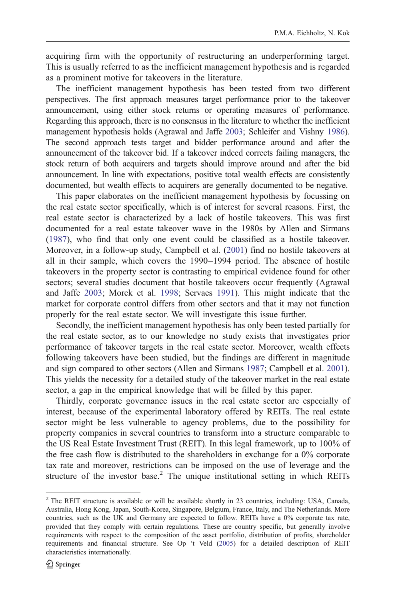acquiring firm with the opportunity of restructuring an underperforming target. This is usually referred to as the inefficient management hypothesis and is regarded as a prominent motive for takeovers in the literature.

The inefficient management hypothesis has been tested from two different perspectives. The first approach measures target performance prior to the takeover announcement, using either stock returns or operating measures of performance. Regarding this approach, there is no consensus in the literature to whether the inefficient management hypothesis holds (Agrawal and Jaffe [2003;](#page-20-0) Schleifer and Vishny [1986\)](#page-22-0). The second approach tests target and bidder performance around and after the announcement of the takeover bid. If a takeover indeed corrects failing managers, the stock return of both acquirers and targets should improve around and after the bid announcement. In line with expectations, positive total wealth effects are consistently documented, but wealth effects to acquirers are generally documented to be negative.

This paper elaborates on the inefficient management hypothesis by focussing on the real estate sector specifically, which is of interest for several reasons. First, the real estate sector is characterized by a lack of hostile takeovers. This was first documented for a real estate takeover wave in the 1980s by Allen and Sirmans [\(1987](#page-20-0)), who find that only one event could be classified as a hostile takeover. Moreover, in a follow-up study, Campbell et al. [\(2001](#page-21-0)) find no hostile takeovers at all in their sample, which covers the 1990–1994 period. The absence of hostile takeovers in the property sector is contrasting to empirical evidence found for other sectors; several studies document that hostile takeovers occur frequently (Agrawal and Jaffe [2003;](#page-20-0) Morck et al. [1998;](#page-22-0) Servaes [1991\)](#page-22-0). This might indicate that the market for corporate control differs from other sectors and that it may not function properly for the real estate sector. We will investigate this issue further.

Secondly, the inefficient management hypothesis has only been tested partially for the real estate sector, as to our knowledge no study exists that investigates prior performance of takeover targets in the real estate sector. Moreover, wealth effects following takeovers have been studied, but the findings are different in magnitude and sign compared to other sectors (Allen and Sirmans [1987](#page-20-0); Campbell et al. [2001\)](#page-21-0). This yields the necessity for a detailed study of the takeover market in the real estate sector, a gap in the empirical knowledge that will be filled by this paper.

Thirdly, corporate governance issues in the real estate sector are especially of interest, because of the experimental laboratory offered by REITs. The real estate sector might be less vulnerable to agency problems, due to the possibility for property companies in several countries to transform into a structure comparable to the US Real Estate Investment Trust (REIT). In this legal framework, up to 100% of the free cash flow is distributed to the shareholders in exchange for a 0% corporate tax rate and moreover, restrictions can be imposed on the use of leverage and the structure of the investor base.<sup>2</sup> The unique institutional setting in which REITs

<sup>&</sup>lt;sup>2</sup> The REIT structure is available or will be available shortly in 23 countries, including: USA, Canada, Australia, Hong Kong, Japan, South-Korea, Singapore, Belgium, France, Italy, and The Netherlands. More countries, such as the UK and Germany are expected to follow. REITs have a 0% corporate tax rate, provided that they comply with certain regulations. These are country specific, but generally involve requirements with respect to the composition of the asset portfolio, distribution of profits, shareholder requirements and financial structure. See Op 't Veld [\(2005](#page-22-0)) for a detailed description of REIT characteristics internationally.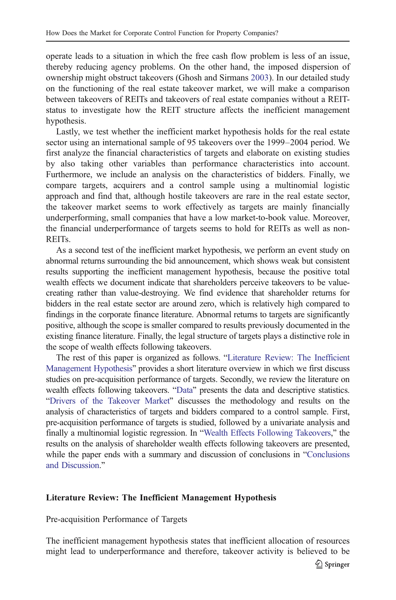operate leads to a situation in which the free cash flow problem is less of an issue, thereby reducing agency problems. On the other hand, the imposed dispersion of ownership might obstruct takeovers (Ghosh and Sirmans [2003](#page-21-0)). In our detailed study on the functioning of the real estate takeover market, we will make a comparison between takeovers of REITs and takeovers of real estate companies without a REITstatus to investigate how the REIT structure affects the inefficient management hypothesis.

Lastly, we test whether the inefficient market hypothesis holds for the real estate sector using an international sample of 95 takeovers over the 1999–2004 period. We first analyze the financial characteristics of targets and elaborate on existing studies by also taking other variables than performance characteristics into account. Furthermore, we include an analysis on the characteristics of bidders. Finally, we compare targets, acquirers and a control sample using a multinomial logistic approach and find that, although hostile takeovers are rare in the real estate sector, the takeover market seems to work effectively as targets are mainly financially underperforming, small companies that have a low market-to-book value. Moreover, the financial underperformance of targets seems to hold for REITs as well as non-REITs.

As a second test of the inefficient market hypothesis, we perform an event study on abnormal returns surrounding the bid announcement, which shows weak but consistent results supporting the inefficient management hypothesis, because the positive total wealth effects we document indicate that shareholders perceive takeovers to be valuecreating rather than value-destroying. We find evidence that shareholder returns for bidders in the real estate sector are around zero, which is relatively high compared to findings in the corporate finance literature. Abnormal returns to targets are significantly positive, although the scope is smaller compared to results previously documented in the existing finance literature. Finally, the legal structure of targets plays a distinctive role in the scope of wealth effects following takeovers.

The rest of this paper is organized as follows. "Literature Review: The Inefficient Management Hypothesis" provides a short literature overview in which we first discuss studies on pre-acquisition performance of targets. Secondly, we review the literature on wealth effects following takeovers. "[Data](#page-5-0)" presents the data and descriptive statistics. "[Drivers of the Takeover Market](#page-8-0)" discusses the methodology and results on the analysis of characteristics of targets and bidders compared to a control sample. First, pre-acquisition performance of targets is studied, followed by a univariate analysis and finally a multinomial logistic regression. In "[Wealth Effects Following Takeovers](#page-15-0)," the results on the analysis of shareholder wealth effects following takeovers are presented, while the paper ends with a summary and discussion of conclusions in "[Conclusions](#page-18-0) [and Discussion](#page-18-0)."

#### Literature Review: The Inefficient Management Hypothesis

Pre-acquisition Performance of Targets

The inefficient management hypothesis states that inefficient allocation of resources might lead to underperformance and therefore, takeover activity is believed to be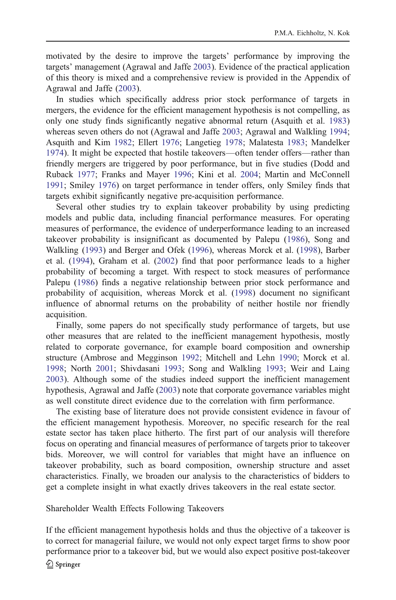motivated by the desire to improve the targets' performance by improving the targets' management (Agrawal and Jaffe [2003\)](#page-20-0). Evidence of the practical application of this theory is mixed and a comprehensive review is provided in the Appendix of Agrawal and Jaffe [\(2003](#page-20-0)).

In studies which specifically address prior stock performance of targets in mergers, the evidence for the efficient management hypothesis is not compelling, as only one study finds significantly negative abnormal return (Asquith et al. [1983](#page-21-0)) whereas seven others do not (Agrawal and Jaffe [2003;](#page-20-0) Agrawal and Walkling [1994;](#page-20-0) Asquith and Kim [1982;](#page-21-0) Ellert [1976](#page-21-0); Langetieg [1978;](#page-21-0) Malatesta [1983;](#page-21-0) Mandelker [1974\)](#page-21-0). It might be expected that hostile takeovers—often tender offers—rather than friendly mergers are triggered by poor performance, but in five studies (Dodd and Ruback [1977;](#page-21-0) Franks and Mayer [1996;](#page-21-0) Kini et al. [2004;](#page-21-0) Martin and McConnell [1991;](#page-21-0) Smiley [1976\)](#page-22-0) on target performance in tender offers, only Smiley finds that targets exhibit significantly negative pre-acquisition performance.

Several other studies try to explain takeover probability by using predicting models and public data, including financial performance measures. For operating measures of performance, the evidence of underperformance leading to an increased takeover probability is insignificant as documented by Palepu [\(1986](#page-22-0)), Song and Walkling [\(1993](#page-22-0)) and Berger and Ofek [\(1996](#page-21-0)), whereas Morck et al. ([1998\)](#page-22-0), Barber et al. ([1994](#page-21-0)), Graham et al. [\(2002](#page-21-0)) find that poor performance leads to a higher probability of becoming a target. With respect to stock measures of performance Palepu [\(1986](#page-22-0)) finds a negative relationship between prior stock performance and probability of acquisition, whereas Morck et al. [\(1998](#page-22-0)) document no significant influence of abnormal returns on the probability of neither hostile nor friendly acquisition.

Finally, some papers do not specifically study performance of targets, but use other measures that are related to the inefficient management hypothesis, mostly related to corporate governance, for example board composition and ownership structure (Ambrose and Megginson [1992](#page-20-0); Mitchell and Lehn [1990;](#page-22-0) Morck et al. [1998;](#page-22-0) North [2001](#page-22-0); Shivdasani [1993](#page-22-0); Song and Walkling [1993;](#page-22-0) Weir and Laing [2003\)](#page-22-0). Although some of the studies indeed support the inefficient management hypothesis, Agrawal and Jaffe ([2003\)](#page-20-0) note that corporate governance variables might as well constitute direct evidence due to the correlation with firm performance.

The existing base of literature does not provide consistent evidence in favour of the efficient management hypothesis. Moreover, no specific research for the real estate sector has taken place hitherto. The first part of our analysis will therefore focus on operating and financial measures of performance of targets prior to takeover bids. Moreover, we will control for variables that might have an influence on takeover probability, such as board composition, ownership structure and asset characteristics. Finally, we broaden our analysis to the characteristics of bidders to get a complete insight in what exactly drives takeovers in the real estate sector.

Shareholder Wealth Effects Following Takeovers

If the efficient management hypothesis holds and thus the objective of a takeover is to correct for managerial failure, we would not only expect target firms to show poor performance prior to a takeover bid, but we would also expect positive post-takeover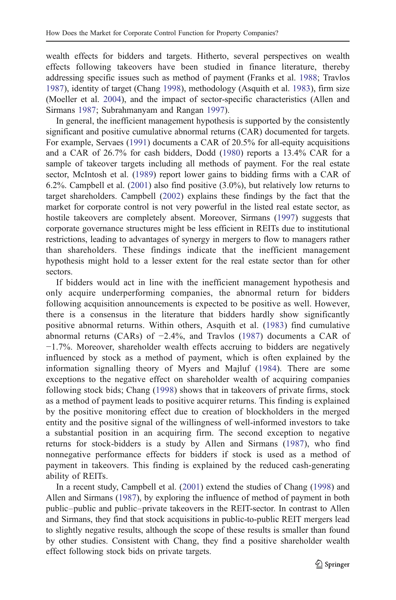wealth effects for bidders and targets. Hitherto, several perspectives on wealth effects following takeovers have been studied in finance literature, thereby addressing specific issues such as method of payment (Franks et al. [1988](#page-21-0); Travlos [1987\)](#page-22-0), identity of target (Chang [1998\)](#page-21-0), methodology (Asquith et al. [1983\)](#page-21-0), firm size (Moeller et al. [2004\)](#page-22-0), and the impact of sector-specific characteristics (Allen and Sirmans [1987;](#page-20-0) Subrahmanyam and Rangan [1997](#page-22-0)).

In general, the inefficient management hypothesis is supported by the consistently significant and positive cumulative abnormal returns (CAR) documented for targets. For example, Servaes [\(1991](#page-22-0)) documents a CAR of 20.5% for all-equity acquisitions and a CAR of 26.7% for cash bidders, Dodd ([1980\)](#page-21-0) reports a 13.4% CAR for a sample of takeover targets including all methods of payment. For the real estate sector, McIntosh et al. [\(1989](#page-21-0)) report lower gains to bidding firms with a CAR of 6.2%. Campbell et al. ([2001\)](#page-21-0) also find positive (3.0%), but relatively low returns to target shareholders. Campbell ([2002\)](#page-21-0) explains these findings by the fact that the market for corporate control is not very powerful in the listed real estate sector, as hostile takeovers are completely absent. Moreover, Sirmans ([1997\)](#page-22-0) suggests that corporate governance structures might be less efficient in REITs due to institutional restrictions, leading to advantages of synergy in mergers to flow to managers rather than shareholders. These findings indicate that the inefficient management hypothesis might hold to a lesser extent for the real estate sector than for other sectors.

If bidders would act in line with the inefficient management hypothesis and only acquire underperforming companies, the abnormal return for bidders following acquisition announcements is expected to be positive as well. However, there is a consensus in the literature that bidders hardly show significantly positive abnormal returns. Within others, Asquith et al. [\(1983\)](#page-21-0) find cumulative abnormal returns (CARs) of −2.4%, and Travlos [\(1987\)](#page-22-0) documents a CAR of −1.7%. Moreover, shareholder wealth effects accruing to bidders are negatively influenced by stock as a method of payment, which is often explained by the information signalling theory of Myers and Majluf ([1984](#page-22-0)). There are some exceptions to the negative effect on shareholder wealth of acquiring companies following stock bids; Chang ([1998](#page-21-0)) shows that in takeovers of private firms, stock as a method of payment leads to positive acquirer returns. This finding is explained by the positive monitoring effect due to creation of blockholders in the merged entity and the positive signal of the willingness of well-informed investors to take a substantial position in an acquiring firm. The second exception to negative returns for stock-bidders is a study by Allen and Sirmans [\(1987\)](#page-20-0), who find nonnegative performance effects for bidders if stock is used as a method of payment in takeovers. This finding is explained by the reduced cash-generating ability of REITs.

In a recent study, Campbell et al. ([2001](#page-21-0)) extend the studies of Chang ([1998\)](#page-21-0) and Allen and Sirmans ([1987](#page-20-0)), by exploring the influence of method of payment in both public–public and public–private takeovers in the REIT-sector. In contrast to Allen and Sirmans, they find that stock acquisitions in public-to-public REIT mergers lead to slightly negative results, although the scope of these results is smaller than found by other studies. Consistent with Chang, they find a positive shareholder wealth effect following stock bids on private targets.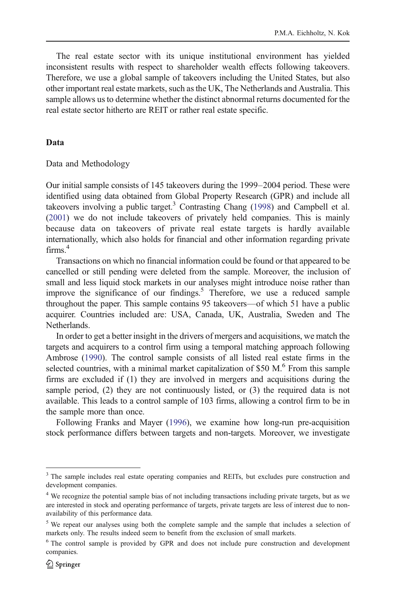<span id="page-5-0"></span>The real estate sector with its unique institutional environment has yielded inconsistent results with respect to shareholder wealth effects following takeovers. Therefore, we use a global sample of takeovers including the United States, but also other important real estate markets, such as the UK, The Netherlands and Australia. This sample allows us to determine whether the distinct abnormal returns documented for the real estate sector hitherto are REIT or rather real estate specific.

### Data

#### Data and Methodology

Our initial sample consists of 145 takeovers during the 1999–2004 period. These were identified using data obtained from Global Property Research (GPR) and include all takeovers involving a public target.<sup>3</sup> Contrasting Chang  $(1998)$  and Campbell et al. [\(2001\)](#page-21-0) we do not include takeovers of privately held companies. This is mainly because data on takeovers of private real estate targets is hardly available internationally, which also holds for financial and other information regarding private firms.4

Transactions on which no financial information could be found or that appeared to be cancelled or still pending were deleted from the sample. Moreover, the inclusion of small and less liquid stock markets in our analyses might introduce noise rather than improve the significance of our findings.<sup>5</sup> Therefore, we use a reduced sample throughout the paper. This sample contains 95 takeovers—of which 51 have a public acquirer. Countries included are: USA, Canada, UK, Australia, Sweden and The Netherlands.

In order to get a better insight in the drivers of mergers and acquisitions, we match the targets and acquirers to a control firm using a temporal matching approach following Ambrose ([1990](#page-20-0)). The control sample consists of all listed real estate firms in the selected countries, with a minimal market capitalization of  $$50 M<sup>6</sup>$  From this sample firms are excluded if (1) they are involved in mergers and acquisitions during the sample period, (2) they are not continuously listed, or (3) the required data is not available. This leads to a control sample of 103 firms, allowing a control firm to be in the sample more than once.

Following Franks and Mayer ([1996](#page-21-0)), we examine how long-run pre-acquisition stock performance differs between targets and non-targets. Moreover, we investigate

<sup>&</sup>lt;sup>3</sup> The sample includes real estate operating companies and REITs, but excludes pure construction and development companies.

<sup>&</sup>lt;sup>4</sup> We recognize the potential sample bias of not including transactions including private targets, but as we are interested in stock and operating performance of targets, private targets are less of interest due to nonavailability of this performance data.

<sup>&</sup>lt;sup>5</sup> We repeat our analyses using both the complete sample and the sample that includes a selection of markets only. The results indeed seem to benefit from the exclusion of small markets.

<sup>6</sup> The control sample is provided by GPR and does not include pure construction and development companies.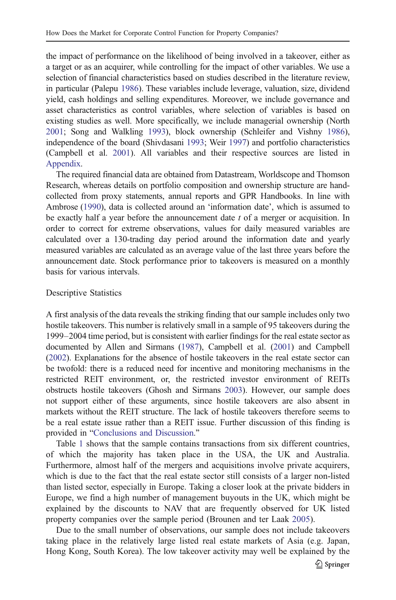the impact of performance on the likelihood of being involved in a takeover, either as a target or as an acquirer, while controlling for the impact of other variables. We use a selection of financial characteristics based on studies described in the literature review, in particular (Palepu [1986\)](#page-22-0). These variables include leverage, valuation, size, dividend yield, cash holdings and selling expenditures. Moreover, we include governance and asset characteristics as control variables, where selection of variables is based on existing studies as well. More specifically, we include managerial ownership (North [2001;](#page-22-0) Song and Walkling [1993\)](#page-22-0), block ownership (Schleifer and Vishny [1986\)](#page-22-0), independence of the board (Shivdasani [1993;](#page-22-0) Weir [1997\)](#page-22-0) and portfolio characteristics (Campbell et al. [2001\)](#page-21-0). All variables and their respective sources are listed in [Appendix](#page-19-0).

The required financial data are obtained from Datastream, Worldscope and Thomson Research, whereas details on portfolio composition and ownership structure are handcollected from proxy statements, annual reports and GPR Handbooks. In line with Ambrose [\(1990](#page-20-0)), data is collected around an 'information date', which is assumed to be exactly half a year before the announcement date  $t$  of a merger or acquisition. In order to correct for extreme observations, values for daily measured variables are calculated over a 130-trading day period around the information date and yearly measured variables are calculated as an average value of the last three years before the announcement date. Stock performance prior to takeovers is measured on a monthly basis for various intervals.

#### Descriptive Statistics

A first analysis of the data reveals the striking finding that our sample includes only two hostile takeovers. This number is relatively small in a sample of 95 takeovers during the 1999–2004 time period, but is consistent with earlier findings for the real estate sector as documented by Allen and Sirmans [\(1987\)](#page-20-0), Campbell et al. ([2001](#page-21-0)) and Campbell [\(2002\)](#page-21-0). Explanations for the absence of hostile takeovers in the real estate sector can be twofold: there is a reduced need for incentive and monitoring mechanisms in the restricted REIT environment, or, the restricted investor environment of REITs obstructs hostile takeovers (Ghosh and Sirmans [2003](#page-21-0)). However, our sample does not support either of these arguments, since hostile takeovers are also absent in markets without the REIT structure. The lack of hostile takeovers therefore seems to be a real estate issue rather than a REIT issue. Further discussion of this finding is provided in "[Conclusions and Discussion.](#page-18-0)"

Table [1](#page-7-0) shows that the sample contains transactions from six different countries, of which the majority has taken place in the USA, the UK and Australia. Furthermore, almost half of the mergers and acquisitions involve private acquirers, which is due to the fact that the real estate sector still consists of a larger non-listed than listed sector, especially in Europe. Taking a closer look at the private bidders in Europe, we find a high number of management buyouts in the UK, which might be explained by the discounts to NAV that are frequently observed for UK listed property companies over the sample period (Brounen and ter Laak [2005](#page-21-0)).

Due to the small number of observations, our sample does not include takeovers taking place in the relatively large listed real estate markets of Asia (e.g. Japan, Hong Kong, South Korea). The low takeover activity may well be explained by the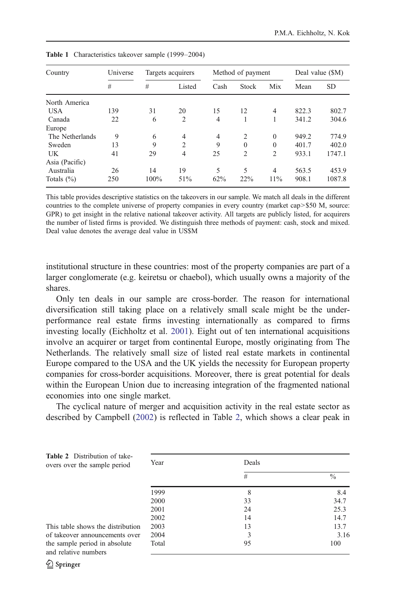| Country         | Universe | Targets acquirers |                | Method of payment |              |                | Deal value (\$M) |           |
|-----------------|----------|-------------------|----------------|-------------------|--------------|----------------|------------------|-----------|
|                 | #        | #                 | Listed         | Cash              | <b>Stock</b> | Mix            | Mean             | <b>SD</b> |
| North America   |          |                   |                |                   |              |                |                  |           |
| <b>USA</b>      | 139      | 31                | 20             | 15                | 12           | $\overline{4}$ | 822.3            | 802.7     |
| Canada          | 22       | 6                 | 2              | 4                 |              |                | 341.2            | 304.6     |
| Europe          |          |                   |                |                   |              |                |                  |           |
| The Netherlands | 9        | 6                 | $\overline{4}$ | 4                 | 2            | $\mathbf{0}$   | 949.2            | 774.9     |
| Sweden          | 13       | 9                 | $\overline{2}$ | 9                 | $\Omega$     | $\theta$       | 401.7            | 402.0     |
| UK              | 41       | 29                | $\overline{4}$ | 25                | 2            | 2              | 933.1            | 1747.1    |
| Asia (Pacific)  |          |                   |                |                   |              |                |                  |           |
| Australia       | 26       | 14                | 19             | 5                 | 5            | $\overline{4}$ | 563.5            | 453.9     |
| Totals $(\%)$   | 250      | 100%              | 51%            | 62%               | 22%          | 11%            | 908.1            | 1087.8    |

<span id="page-7-0"></span>Table 1 Characteristics takeover sample (1999–2004)

This table provides descriptive statistics on the takeovers in our sample. We match all deals in the different countries to the complete universe of property companies in every country (market cap>\$50 M, source: GPR) to get insight in the relative national takeover activity. All targets are publicly listed, for acquirers the number of listed firms is provided. We distinguish three methods of payment: cash, stock and mixed. Deal value denotes the average deal value in US\$M

institutional structure in these countries: most of the property companies are part of a larger conglomerate (e.g. keiretsu or chaebol), which usually owns a majority of the shares.

Only ten deals in our sample are cross-border. The reason for international diversification still taking place on a relatively small scale might be the underperformance real estate firms investing internationally as compared to firms investing locally (Eichholtz et al. [2001\)](#page-21-0). Eight out of ten international acquisitions involve an acquirer or target from continental Europe, mostly originating from The Netherlands. The relatively small size of listed real estate markets in continental Europe compared to the USA and the UK yields the necessity for European property companies for cross-border acquisitions. Moreover, there is great potential for deals within the European Union due to increasing integration of the fragmented national economies into one single market.

The cyclical nature of merger and acquisition activity in the real estate sector as described by Campbell ([2002\)](#page-21-0) is reflected in Table 2, which shows a clear peak in

| <b>Table 2</b> Distribution of take-<br>overs over the sample period | Year  | Deals |               |  |
|----------------------------------------------------------------------|-------|-------|---------------|--|
|                                                                      |       | #     | $\frac{0}{0}$ |  |
|                                                                      | 1999  | 8     | 8.4           |  |
|                                                                      | 2000  | 33    | 34.7          |  |
|                                                                      | 2001  | 24    | 25.3          |  |
|                                                                      | 2002  | 14    | 14.7          |  |
| This table shows the distribution                                    | 2003  | 13    | 13.7          |  |
| of takeover announcements over                                       | 2004  | 3     | 3.16          |  |
| the sample period in absolute<br>and relative numbers                | Total | 95    | 100           |  |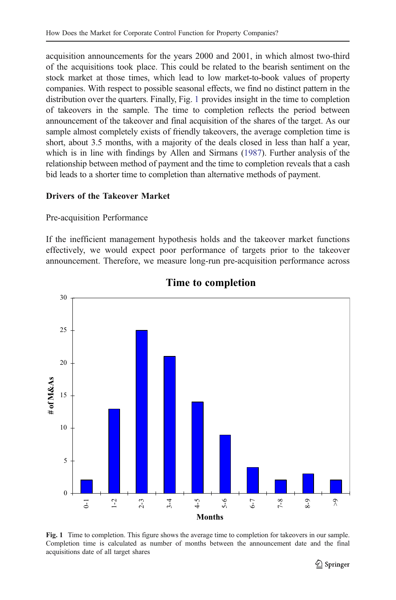<span id="page-8-0"></span>acquisition announcements for the years 2000 and 2001, in which almost two-third of the acquisitions took place. This could be related to the bearish sentiment on the stock market at those times, which lead to low market-to-book values of property companies. With respect to possible seasonal effects, we find no distinct pattern in the distribution over the quarters. Finally, Fig. 1 provides insight in the time to completion of takeovers in the sample. The time to completion reflects the period between announcement of the takeover and final acquisition of the shares of the target. As our sample almost completely exists of friendly takeovers, the average completion time is short, about 3.5 months, with a majority of the deals closed in less than half a year, which is in line with findings by Allen and Sirmans ([1987](#page-20-0)). Further analysis of the relationship between method of payment and the time to completion reveals that a cash bid leads to a shorter time to completion than alternative methods of payment.

### Drivers of the Takeover Market

#### Pre-acquisition Performance

If the inefficient management hypothesis holds and the takeover market functions effectively, we would expect poor performance of targets prior to the takeover announcement. Therefore, we measure long-run pre-acquisition performance across



# **Time to completion**

Fig. 1 Time to completion. This figure shows the average time to completion for takeovers in our sample. Completion time is calculated as number of months between the announcement date and the final acquisitions date of all target shares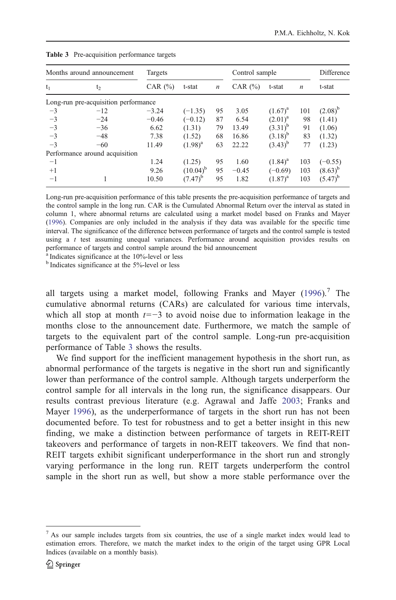| Months around announcement |                                      | Targets     |               |                  | Control sample |              |                  | Difference   |  |
|----------------------------|--------------------------------------|-------------|---------------|------------------|----------------|--------------|------------------|--------------|--|
| $t_1$                      | $t_2$                                | CAR $(\% )$ | t-stat        | $\boldsymbol{n}$ | CAR $(%)$      | t-stat       | $\boldsymbol{n}$ | t-stat       |  |
|                            | Long-run pre-acquisition performance |             |               |                  |                |              |                  |              |  |
| $-3$                       | $-12$                                | $-3.24$     | $(-1.35)$     | 95               | 3.05           | $(1.67)^{a}$ | 101              | $(2.08)^{b}$ |  |
| $-3$                       | $-24$                                | $-0.46$     | $(-0.12)$     | 87               | 6.54           | $(2.01)^{a}$ | 98               | (1.41)       |  |
| $-3$                       | $-36$                                | 6.62        | (1.31)        | 79               | 13.49          | $(3.31)^{b}$ | 91               | (1.06)       |  |
| $-3$                       | $-48$                                | 7.38        | (1.52)        | 68               | 16.86          | $(3.18)^{b}$ | 83               | (1.32)       |  |
| $-3$                       | $-60$                                | 11.49       | $(1.98)^{a}$  | 63               | 22.22          | $(3.43)^{b}$ | 77               | (1.23)       |  |
|                            | Performance around acquisition       |             |               |                  |                |              |                  |              |  |
| $-1$                       |                                      | 1.24        | (1.25)        | 95               | 1.60           | $(1.84)^{a}$ | 103              | $(-0.55)$    |  |
| $+1$                       |                                      | 9.26        | $(10.04)^{b}$ | 95               | $-0.45$        | $(-0.69)$    | 103              | $(8.63)^{b}$ |  |
| $^{-1}$                    |                                      | 10.50       | $(7.47)^{b}$  | 95               | 1.82           | $(1.87)^{a}$ | 103              | $(5.47)^b$   |  |

<span id="page-9-0"></span>Table 3 Pre-acquisition performance targets

Long-run pre-acquisition performance of this table presents the pre-acquisition performance of targets and the control sample in the long run. CAR is the Cumulated Abnormal Return over the interval as stated in column 1, where abnormal returns are calculated using a market model based on Franks and Mayer ([1996\)](#page-21-0). Companies are only included in the analysis if they data was available for the specific time interval. The significance of the difference between performance of targets and the control sample is tested using a t test assuming unequal variances. Performance around acquisition provides results on performance of targets and control sample around the bid announcement

Indicates significance at the  $10\%$ -level or less

<sup>b</sup> Indicates significance at the 5%-level or less

all targets using a market model, following Franks and Mayer  $(1996)$  $(1996)$ .<sup>7</sup> The cumulative abnormal returns (CARs) are calculated for various time intervals, which all stop at month  $t=-3$  to avoid noise due to information leakage in the months close to the announcement date. Furthermore, we match the sample of targets to the equivalent part of the control sample. Long-run pre-acquisition performance of Table 3 shows the results.

We find support for the inefficient management hypothesis in the short run, as abnormal performance of the targets is negative in the short run and significantly lower than performance of the control sample. Although targets underperform the control sample for all intervals in the long run, the significance disappears. Our results contrast previous literature (e.g. Agrawal and Jaffe [2003](#page-20-0); Franks and Mayer [1996](#page-21-0)), as the underperformance of targets in the short run has not been documented before. To test for robustness and to get a better insight in this new finding, we make a distinction between performance of targets in REIT-REIT takeovers and performance of targets in non-REIT takeovers. We find that non-REIT targets exhibit significant underperformance in the short run and strongly varying performance in the long run. REIT targets underperform the control sample in the short run as well, but show a more stable performance over the

 $<sup>7</sup>$  As our sample includes targets from six countries, the use of a single market index would lead to</sup> estimation errors. Therefore, we match the market index to the origin of the target using GPR Local Indices (available on a monthly basis).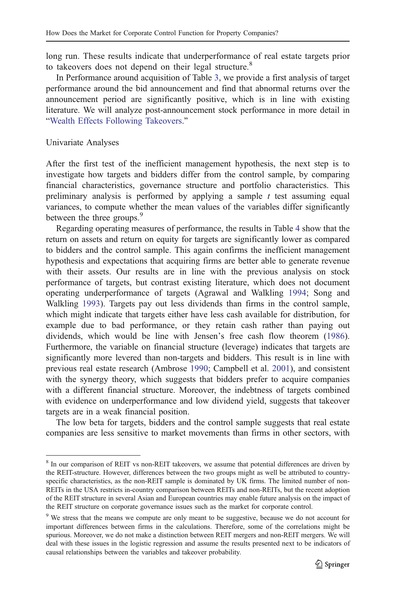long run. These results indicate that underperformance of real estate targets prior to takeovers does not depend on their legal structure.<sup>8</sup>

In Performance around acquisition of Table [3,](#page-9-0) we provide a first analysis of target performance around the bid announcement and find that abnormal returns over the announcement period are significantly positive, which is in line with existing literature. We will analyze post-announcement stock performance in more detail in "[Wealth Effects Following Takeovers.](#page-15-0)"

### Univariate Analyses

After the first test of the inefficient management hypothesis, the next step is to investigate how targets and bidders differ from the control sample, by comparing financial characteristics, governance structure and portfolio characteristics. This preliminary analysis is performed by applying a sample  $t$  test assuming equal variances, to compute whether the mean values of the variables differ significantly between the three groups.<sup>9</sup>

Regarding operating measures of performance, the results in Table [4](#page-11-0) show that the return on assets and return on equity for targets are significantly lower as compared to bidders and the control sample. This again confirms the inefficient management hypothesis and expectations that acquiring firms are better able to generate revenue with their assets. Our results are in line with the previous analysis on stock performance of targets, but contrast existing literature, which does not document operating underperformance of targets (Agrawal and Walkling [1994](#page-20-0); Song and Walkling [1993](#page-22-0)). Targets pay out less dividends than firms in the control sample, which might indicate that targets either have less cash available for distribution, for example due to bad performance, or they retain cash rather than paying out dividends, which would be line with Jensen's free cash flow theorem ([1986\)](#page-21-0). Furthermore, the variable on financial structure (leverage) indicates that targets are significantly more levered than non-targets and bidders. This result is in line with previous real estate research (Ambrose [1990](#page-20-0); Campbell et al. [2001](#page-21-0)), and consistent with the synergy theory, which suggests that bidders prefer to acquire companies with a different financial structure. Moreover, the indebtness of targets combined with evidence on underperformance and low dividend yield, suggests that takeover targets are in a weak financial position.

The low beta for targets, bidders and the control sample suggests that real estate companies are less sensitive to market movements than firms in other sectors, with

<sup>&</sup>lt;sup>8</sup> In our comparison of REIT vs non-REIT takeovers, we assume that potential differences are driven by the REIT-structure. However, differences between the two groups might as well be attributed to countryspecific characteristics, as the non-REIT sample is dominated by UK firms. The limited number of non-REITs in the USA restricts in-country comparison between REITs and non-REITs, but the recent adoption of the REIT structure in several Asian and European countries may enable future analysis on the impact of the REIT structure on corporate governance issues such as the market for corporate control.

<sup>&</sup>lt;sup>9</sup> We stress that the means we compute are only meant to be suggestive, because we do not account for important differences between firms in the calculations. Therefore, some of the correlations might be spurious. Moreover, we do not make a distinction between REIT mergers and non-REIT mergers. We will deal with these issues in the logistic regression and assume the results presented next to be indicators of causal relationships between the variables and takeover probability.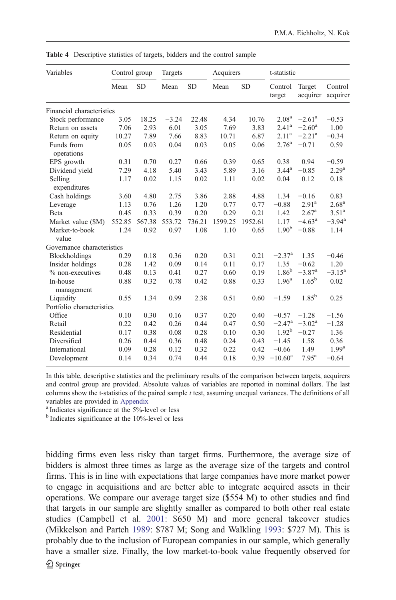| Variables                  | Control group |           | Targets |           | Acquirers |           | t-statistic          |                      |                      |
|----------------------------|---------------|-----------|---------|-----------|-----------|-----------|----------------------|----------------------|----------------------|
|                            | Mean          | <b>SD</b> | Mean    | <b>SD</b> | Mean      | <b>SD</b> | Control<br>target    | Target<br>acquirer   | Control<br>acquirer  |
| Financial characteristics  |               |           |         |           |           |           |                      |                      |                      |
| Stock performance          | 3.05          | 18.25     | $-3.24$ | 22.48     | 4.34      | 10.76     | 2.08 <sup>a</sup>    | $-2.61^{\rm a}$      | $-0.53$              |
| Return on assets           | 7.06          | 2.93      | 6.01    | 3.05      | 7.69      | 3.83      | $2.41^{\rm a}$       | $-2.60^{\rm a}$      | 1.00                 |
| Return on equity           | 10.27         | 7.89      | 7.66    | 8.83      | 10.71     | 6.87      | $2.11^{a}$           | $-2.21$ <sup>a</sup> | $-0.34$              |
| Funds from<br>operations   | 0.05          | 0.03      | 0.04    | 0.03      | 0.05      | 0.06      | $2.76^{a}$           | $-0.71$              | 0.59                 |
| EPS growth                 | 0.31          | 0.70      | 0.27    | 0.66      | 0.39      | 0.65      | 0.38                 | 0.94                 | $-0.59$              |
| Dividend yield             | 7.29          | 4.18      | 5.40    | 3.43      | 5.89      | 3.16      | $3.44^a$             | $-0.85$              | $2.29^{a}$           |
| Selling<br>expenditures    | 1.17          | 0.02      | 1.15    | 0.02      | 1.11      | 0.02      | 0.04                 | 0.12                 | 0.18                 |
| Cash holdings              | 3.60          | 4.80      | 2.75    | 3.86      | 2.88      | 4.88      | 1.34                 | $-0.16$              | 0.83                 |
| Leverage                   | 1.13          | 0.76      | 1.26    | 1.20      | 0.77      | 0.77      | $-0.88$              | 2.91 <sup>a</sup>    | 2.68 <sup>a</sup>    |
| Beta                       | 0.45          | 0.33      | 0.39    | 0.20      | 0.29      | 0.21      | 1.42                 | 2.67 <sup>a</sup>    | 3.51 <sup>a</sup>    |
| Market value (\$M)         | 552.85        | 567.38    | 553.72  | 736.21    | 1599.25   | 1952.61   | 1.17                 | $-4.63^{\rm a}$      | $-3.94$ <sup>a</sup> |
| Market-to-book<br>value    | 1.24          | 0.92      | 0.97    | 1.08      | 1.10      | 0.65      | 1.90 <sup>b</sup>    | $-0.88$              | 1.14                 |
| Governance characteristics |               |           |         |           |           |           |                      |                      |                      |
| Blockholdings              | 0.29          | 0.18      | 0.36    | 0.20      | 0.31      | 0.21      | $-2.37^{\rm a}$      | 1.35                 | $-0.46$              |
| Insider holdings           | 0.28          | 1.42      | 0.09    | 0.14      | 0.11      | 0.17      | 1.35                 | $-0.62$              | 1.20                 |
| % non-executives           | 0.48          | 0.13      | 0.41    | 0.27      | 0.60      | 0.19      | $1.86^{b}$           | $-3.87$ <sup>a</sup> | $-3.15^{\rm a}$      |
| In-house                   | 0.88          | 0.32      | 0.78    | 0.42      | 0.88      | 0.33      | 1.96 <sup>a</sup>    | $1.65^{b}$           | 0.02                 |
| management                 |               |           |         |           |           |           |                      |                      |                      |
| Liquidity                  | 0.55          | 1.34      | 0.99    | 2.38      | 0.51      | 0.60      | $-1.59$              | $1.85^{b}$           | 0.25                 |
| Portfolio characteristics  |               |           |         |           |           |           |                      |                      |                      |
| Office                     | 0.10          | 0.30      | 0.16    | 0.37      | 0.20      | 0.40      | $-0.57$              | $-1.28$              | $-1.56$              |
| Retail                     | 0.22          | 0.42      | 0.26    | 0.44      | 0.47      | 0.50      | $-2.47$ <sup>a</sup> | $-3.02^{\rm a}$      | $-1.28$              |
| Residential                | 0.17          | 0.38      | 0.08    | 0.28      | 0.10      | 0.30      | $1.92^{b}$           | $-0.27$              | 1.36                 |
| Diversified                | 0.26          | 0.44      | 0.36    | 0.48      | 0.24      | 0.43      | $-1.45$              | 1.58                 | 0.36                 |
| International              | 0.09          | 0.28      | 0.12    | 0.32      | 0.22      | 0.42      | $-0.66$              | 1.49                 | 1.99 <sup>a</sup>    |
| Development                | 0.14          | 0.34      | 0.74    | 0.44      | 0.18      | 0.39      | $-10.60^{\rm a}$     | $7.95^{\rm a}$       | $-0.64$              |

<span id="page-11-0"></span>Table 4 Descriptive statistics of targets, bidders and the control sample

In this table, descriptive statistics and the preliminary results of the comparison between targets, acquirers and control group are provided. Absolute values of variables are reported in nominal dollars. The last columns show the t-statistics of the paired sample  $t$  test, assuming unequal variances. The definitions of all variables are provided in [Appendix](#page-19-0) <sup>a</sup> Indicates significance at the 5%-level or less

<sup>b</sup> Indicates significance at the 10%-level or less

bidding firms even less risky than target firms. Furthermore, the average size of bidders is almost three times as large as the average size of the targets and control firms. This is in line with expectations that large companies have more market power to engage in acquisitions and are better able to integrate acquired assets in their operations. We compare our average target size (\$554 M) to other studies and find that targets in our sample are slightly smaller as compared to both other real estate studies (Campbell et al. [2001](#page-21-0): \$650 M) and more general takeover studies (Mikkelson and Partch [1989:](#page-22-0) \$787 M; Song and Walkling [1993:](#page-22-0) \$727 M). This is probably due to the inclusion of European companies in our sample, which generally have a smaller size. Finally, the low market-to-book value frequently observed for 2 Springer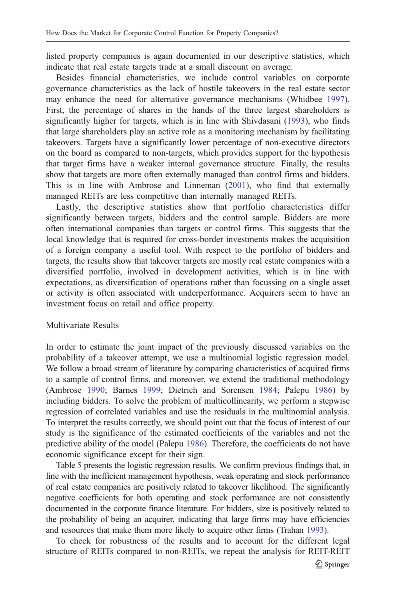listed property companies is again documented in our descriptive statistics, which indicate that real estate targets trade at a small discount on average.

Besides financial characteristics, we include control variables on corporate governance characteristics as the lack of hostile takeovers in the real estate sector may enhance the need for alternative governance mechanisms (Whidbee [1997\)](#page-22-0). First, the percentage of shares in the hands of the three largest shareholders is significantly higher for targets, which is in line with Shivdasani ([1993\)](#page-22-0), who finds that large shareholders play an active role as a monitoring mechanism by facilitating takeovers. Targets have a significantly lower percentage of non-executive directors on the board as compared to non-targets, which provides support for the hypothesis that target firms have a weaker internal governance structure. Finally, the results show that targets are more often externally managed than control firms and bidders. This is in line with Ambrose and Linneman [\(2001](#page-20-0)), who find that externally managed REITs are less competitive than internally managed REITs.

Lastly, the descriptive statistics show that portfolio characteristics differ significantly between targets, bidders and the control sample. Bidders are more often international companies than targets or control firms. This suggests that the local knowledge that is required for cross-border investments makes the acquisition of a foreign company a useful tool. With respect to the portfolio of bidders and targets, the results show that takeover targets are mostly real estate companies with a diversified portfolio, involved in development activities, which is in line with expectations, as diversification of operations rather than focussing on a single asset or activity is often associated with underperformance. Acquirers seem to have an investment focus on retail and office property.

#### Multivariate Results

In order to estimate the joint impact of the previously discussed variables on the probability of a takeover attempt, we use a multinomial logistic regression model. We follow a broad stream of literature by comparing characteristics of acquired firms to a sample of control firms, and moreover, we extend the traditional methodology (Ambrose [1990](#page-20-0); Barnes [1999](#page-21-0); Dietrich and Sorensen [1984;](#page-21-0) Palepu [1986](#page-22-0)) by including bidders. To solve the problem of multicollinearity, we perform a stepwise regression of correlated variables and use the residuals in the multinomial analysis. To interpret the results correctly, we should point out that the focus of interest of our study is the significance of the estimated coefficients of the variables and not the predictive ability of the model (Palepu [1986](#page-22-0)). Therefore, the coefficients do not have economic significance except for their sign.

Table [5](#page-13-0) presents the logistic regression results. We confirm previous findings that, in line with the inefficient management hypothesis, weak operating and stock performance of real estate companies are positively related to takeover likelihood. The significantly negative coefficients for both operating and stock performance are not consistently documented in the corporate finance literature. For bidders, size is positively related to the probability of being an acquirer, indicating that large firms may have efficiencies and resources that make them more likely to acquire other firms (Trahan [1993\)](#page-22-0).

To check for robustness of the results and to account for the different legal structure of REITs compared to non-REITs, we repeat the analysis for REIT-REIT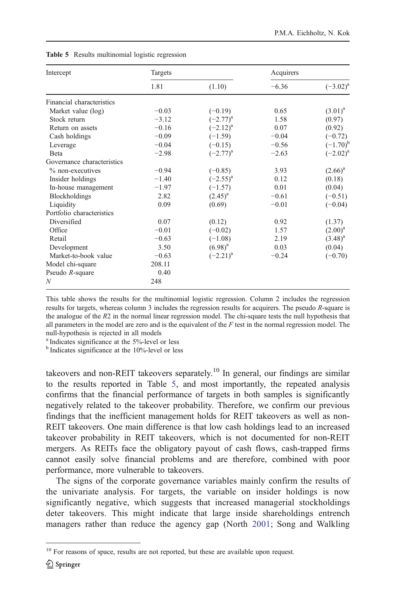| Intercept                  | Targets |               | Acquirers |               |
|----------------------------|---------|---------------|-----------|---------------|
|                            | 1.81    | (1.10)        | $-6.36$   | $(-3.02)^{a}$ |
| Financial characteristics  |         |               |           |               |
| Market value (log)         | $-0.03$ | $(-0.19)$     | 0.65      | $(3.01)^{a}$  |
| Stock return               | $-3.12$ | $(-2.77)^{a}$ | 1.58      | (0.97)        |
| Return on assets           | $-0.16$ | $(-2.12)^{a}$ | 0.07      | (0.92)        |
| Cash holdings              | $-0.09$ | $(-1.59)$     | $-0.04$   | $(-0.72)$     |
| Leverage                   | $-0.04$ | $(-0.15)$     | $-0.56$   | $(-1.70)^{b}$ |
| <b>B</b> eta               | $-2.98$ | $(-2.77)^{a}$ | $-2.63$   | $(-2.02)^{a}$ |
| Governance characteristics |         |               |           |               |
| % non-executives           | $-0.94$ | $(-0.85)$     | 3.93      | $(2.66)^{a}$  |
| Insider holdings           | $-1.40$ | $(-2.55)^{a}$ | 0.12      | (0.18)        |
| In-house management        | $-1.97$ | $(-1.57)$     | 0.01      | (0.04)        |
| Blockholdings              | 2.82    | $(2.45)^{a}$  | $-0.61$   | $(-0.51)$     |
| Liquidity                  | 0.09    | (0.69)        | $-0.01$   | $(-0.04)$     |
| Portfolio characteristics  |         |               |           |               |
| Diversified                | 0.07    | (0.12)        | 0.92      | (1.37)        |
| Office                     | $-0.01$ | $(-0.02)$     | 1.57      | $(2.00)^{a}$  |
| Retail                     | $-0.63$ | $(-1.08)$     | 2.19      | $(3.48)^{a}$  |
| Development                | 3.50    | $(6.98)^{a}$  | 0.03      | (0.04)        |
| Market-to-book value       | $-0.63$ | $(-2.21)^{a}$ | $-0.24$   | $(-0.70)$     |
| Model chi-square           | 208.11  |               |           |               |
| Pseudo R-square            | 0.40    |               |           |               |
| N                          | 248     |               |           |               |

<span id="page-13-0"></span>Table 5 Results multinomial logistic regression

This table shows the results for the multinomial logistic regression. Column 2 includes the regression results for targets, whereas column 3 includes the regression results for acquirers. The pseudo R-square is the analogue of the  $R2$  in the normal linear regression model. The chi-square tests the null hypothesis that all parameters in the model are zero and is the equivalent of the  $F$  test in the normal regression model. The null-hypothesis is rejected in all models

<sup>a</sup> Indicates significance at the 5%-level or less

<sup>b</sup> Indicates significance at the 10%-level or less

takeovers and non-REIT takeovers separately.<sup>10</sup> In general, our findings are similar to the results reported in Table 5, and most importantly, the repeated analysis confirms that the financial performance of targets in both samples is significantly negatively related to the takeover probability. Therefore, we confirm our previous findings that the inefficient management holds for REIT takeovers as well as non-REIT takeovers. One main difference is that low cash holdings lead to an increased takeover probability in REIT takeovers, which is not documented for non-REIT mergers. As REITs face the obligatory payout of cash flows, cash-trapped firms cannot easily solve financial problems and are therefore, combined with poor performance, more vulnerable to takeovers.

The signs of the corporate governance variables mainly confirm the results of the univariate analysis. For targets, the variable on insider holdings is now significantly negative, which suggests that increased managerial stockholdings deter takeovers. This might indicate that large inside shareholdings entrench managers rather than reduce the agency gap (North [2001](#page-22-0); Song and Walkling

<sup>&</sup>lt;sup>10</sup> For reasons of space, results are not reported, but these are available upon request.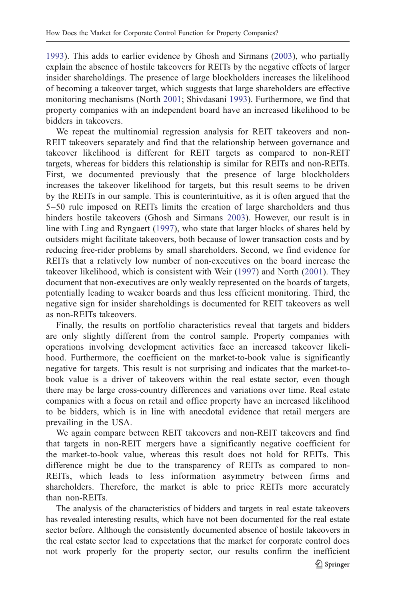[1993](#page-22-0)). This adds to earlier evidence by Ghosh and Sirmans [\(2003\)](#page-21-0), who partially explain the absence of hostile takeovers for REITs by the negative effects of larger insider shareholdings. The presence of large blockholders increases the likelihood of becoming a takeover target, which suggests that large shareholders are effective monitoring mechanisms (North [2001;](#page-22-0) Shivdasani [1993\)](#page-22-0). Furthermore, we find that property companies with an independent board have an increased likelihood to be bidders in takeovers.

We repeat the multinomial regression analysis for REIT takeovers and non-REIT takeovers separately and find that the relationship between governance and takeover likelihood is different for REIT targets as compared to non-REIT targets, whereas for bidders this relationship is similar for REITs and non-REITs. First, we documented previously that the presence of large blockholders increases the takeover likelihood for targets, but this result seems to be driven by the REITs in our sample. This is counterintuitive, as it is often argued that the 5–50 rule imposed on REITs limits the creation of large shareholders and thus hinders hostile takeovers (Ghosh and Sirmans [2003\)](#page-21-0). However, our result is in line with Ling and Ryngaert ([1997](#page-21-0)), who state that larger blocks of shares held by outsiders might facilitate takeovers, both because of lower transaction costs and by reducing free-rider problems by small shareholders. Second, we find evidence for REITs that a relatively low number of non-executives on the board increase the takeover likelihood, which is consistent with Weir ([1997](#page-22-0)) and North [\(2001\)](#page-22-0). They document that non-executives are only weakly represented on the boards of targets, potentially leading to weaker boards and thus less efficient monitoring. Third, the negative sign for insider shareholdings is documented for REIT takeovers as well as non-REITs takeovers.

Finally, the results on portfolio characteristics reveal that targets and bidders are only slightly different from the control sample. Property companies with operations involving development activities face an increased takeover likelihood. Furthermore, the coefficient on the market-to-book value is significantly negative for targets. This result is not surprising and indicates that the market-tobook value is a driver of takeovers within the real estate sector, even though there may be large cross-country differences and variations over time. Real estate companies with a focus on retail and office property have an increased likelihood to be bidders, which is in line with anecdotal evidence that retail mergers are prevailing in the USA.

We again compare between REIT takeovers and non-REIT takeovers and find that targets in non-REIT mergers have a significantly negative coefficient for the market-to-book value, whereas this result does not hold for REITs. This difference might be due to the transparency of REITs as compared to non-REITs, which leads to less information asymmetry between firms and shareholders. Therefore, the market is able to price REITs more accurately than non-REITs.

The analysis of the characteristics of bidders and targets in real estate takeovers has revealed interesting results, which have not been documented for the real estate sector before. Although the consistently documented absence of hostile takeovers in the real estate sector lead to expectations that the market for corporate control does not work properly for the property sector, our results confirm the inefficient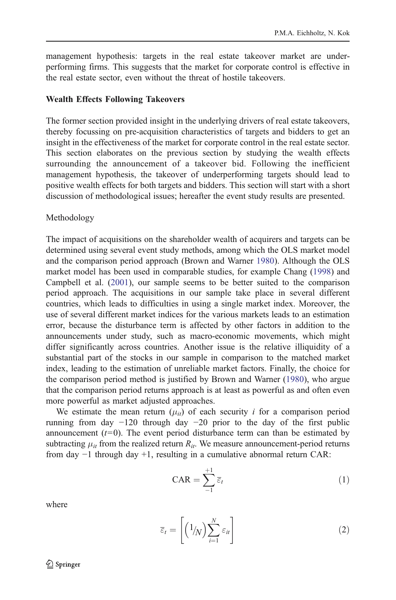<span id="page-15-0"></span>management hypothesis: targets in the real estate takeover market are underperforming firms. This suggests that the market for corporate control is effective in the real estate sector, even without the threat of hostile takeovers.

### Wealth Effects Following Takeovers

The former section provided insight in the underlying drivers of real estate takeovers, thereby focussing on pre-acquisition characteristics of targets and bidders to get an insight in the effectiveness of the market for corporate control in the real estate sector. This section elaborates on the previous section by studying the wealth effects surrounding the announcement of a takeover bid. Following the inefficient management hypothesis, the takeover of underperforming targets should lead to positive wealth effects for both targets and bidders. This section will start with a short discussion of methodological issues; hereafter the event study results are presented.

#### Methodology

The impact of acquisitions on the shareholder wealth of acquirers and targets can be determined using several event study methods, among which the OLS market model and the comparison period approach (Brown and Warner [1980\)](#page-21-0). Although the OLS market model has been used in comparable studies, for example Chang [\(1998](#page-21-0)) and Campbell et al. [\(2001\)](#page-21-0), our sample seems to be better suited to the comparison period approach. The acquisitions in our sample take place in several different countries, which leads to difficulties in using a single market index. Moreover, the use of several different market indices for the various markets leads to an estimation error, because the disturbance term is affected by other factors in addition to the announcements under study, such as macro-economic movements, which might differ significantly across countries. Another issue is the relative illiquidity of a substantial part of the stocks in our sample in comparison to the matched market index, leading to the estimation of unreliable market factors. Finally, the choice for the comparison period method is justified by Brown and Warner [\(1980](#page-21-0)), who argue that the comparison period returns approach is at least as powerful as and often even more powerful as market adjusted approaches.

We estimate the mean return  $(\mu_{it})$  of each security *i* for a comparison period running from day  $-120$  through day  $-20$  prior to the day of the first public announcement  $(t=0)$ . The event period disturbance term can than be estimated by subtracting  $\mu_{it}$  from the realized return  $R_{it}$ . We measure announcement-period returns from day −1 through day +1, resulting in a cumulative abnormal return CAR:

$$
CAR = \sum_{-1}^{+1} \overline{\varepsilon}_t \tag{1}
$$

where

$$
\overline{\varepsilon}_t = \left[ \left( 1_{N} \right) \sum_{i=1}^{N} \varepsilon_{it} \right] \tag{2}
$$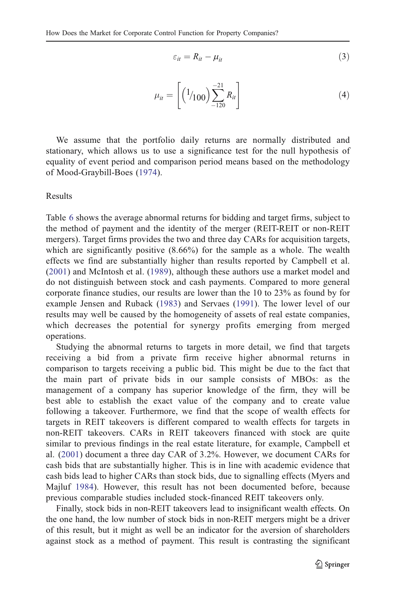$$
\varepsilon_{it} = R_{it} - \mu_{it} \tag{3}
$$

$$
\mu_{it} = \left[ \left( 1 /_{100} \right) \sum_{-120}^{-21} R_{it} \right] \tag{4}
$$

We assume that the portfolio daily returns are normally distributed and stationary, which allows us to use a significance test for the null hypothesis of equality of event period and comparison period means based on the methodology of Mood-Graybill-Boes [\(1974](#page-22-0)).

### Results

Table [6](#page-17-0) shows the average abnormal returns for bidding and target firms, subject to the method of payment and the identity of the merger (REIT-REIT or non-REIT mergers). Target firms provides the two and three day CARs for acquisition targets, which are significantly positive  $(8.66\%)$  for the sample as a whole. The wealth effects we find are substantially higher than results reported by Campbell et al. [\(2001\)](#page-21-0) and McIntosh et al. ([1989](#page-21-0)), although these authors use a market model and do not distinguish between stock and cash payments. Compared to more general corporate finance studies, our results are lower than the 10 to 23% as found by for example Jensen and Ruback [\(1983](#page-21-0)) and Servaes ([1991](#page-22-0)). The lower level of our results may well be caused by the homogeneity of assets of real estate companies, which decreases the potential for synergy profits emerging from merged operations.

Studying the abnormal returns to targets in more detail, we find that targets receiving a bid from a private firm receive higher abnormal returns in comparison to targets receiving a public bid. This might be due to the fact that the main part of private bids in our sample consists of MBOs: as the management of a company has superior knowledge of the firm, they will be best able to establish the exact value of the company and to create value following a takeover. Furthermore, we find that the scope of wealth effects for targets in REIT takeovers is different compared to wealth effects for targets in non-REIT takeovers. CARs in REIT takeovers financed with stock are quite similar to previous findings in the real estate literature, for example, Campbell et al. ([2001](#page-21-0)) document a three day CAR of 3.2%. However, we document CARs for cash bids that are substantially higher. This is in line with academic evidence that cash bids lead to higher CARs than stock bids, due to signalling effects (Myers and Majluf [1984](#page-22-0)). However, this result has not been documented before, because previous comparable studies included stock-financed REIT takeovers only.

Finally, stock bids in non-REIT takeovers lead to insignificant wealth effects. On the one hand, the low number of stock bids in non-REIT mergers might be a driver of this result, but it might as well be an indicator for the aversion of shareholders against stock as a method of payment. This result is contrasting the significant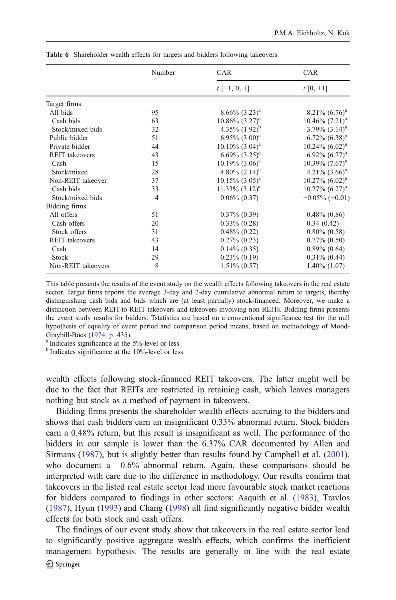|                       | Number | CAR                    | CAR                    |
|-----------------------|--------|------------------------|------------------------|
|                       |        | $t[-1, 0, 1]$          | $t [0, +1]$            |
| Target firms          |        |                        |                        |
| All bids              | 95     | $8.66\%$ $(3.23)^a$    | $8.21\%$ $(6.76)^a$    |
| Cash bids             | 63     | $10.86\%$ $(3.27)^a$   | $10.46\%$ $(7.21)^a$   |
| Stock/mixed bids      | 32     | $4.35\%$ $(1.92)^{b}$  | $3.79\%$ $(3.14)^a$    |
| Public bidder         | 51     | $6.95\%$ $(3.00)^a$    | $6.72\%$ $(6.38)^a$    |
| Private bidder        | 44     | $10.10\%$ $(3.04)^a$   | $10.24\%$ $(6.02)^{a}$ |
| <b>REIT</b> takeovers | 43     | $6.69\%$ $(3.25)^{a}$  | $6.92\%$ $(6.77)^{a}$  |
| Cash                  | 15     | $10.19\%$ $(3.06)^a$   | $10.39\%$ $(7.67)^{a}$ |
| Stock/mixed           | 28     | 4.80\% $(2.14)^a$      | 4.21\% $(3.66)^a$      |
| Non-REIT takeover     | 37     | $10.15\%$ $(3.05)^{a}$ | $10.27\%$ $(6.02)^{a}$ |
| Cash bids             | 33     | $11.33\%$ $(3.12)^{a}$ | $10.27\%$ $(6.27)^{a}$ |
| Stock/mixed bids      | 4      | $0.06\%$ $(0.37)$      | $-0.05\%$ (-0.01)      |
| Bidding firms         |        |                        |                        |
| All offers            | 51     | $0.37\%$ $(0.39)$      | $0.48\%$ (0.86)        |
| Cash offers           | 20     | $0.33\%$ (0.28)        | 0.34(0.42)             |
| Stock offers          | 31     | $0.48\%$ (0.22)        | $0.80\%$ (0.58)        |
| <b>REIT</b> takeovers | 43     | $0.27\%$ $(0.23)$      | $0.77\%$ $(0.50)$      |
| Cash                  | 14     | $0.14\%$ (0.35)        | $0.89\%$ (0.64)        |
| Stock                 | 29     | $0.23\%$ (0.19)        | $0.31\%$ (0.44)        |
| Non-REIT takeovers    | 8      | $1.51\% (0.57)$        | $1.40\%$ $(1.07)$      |

<span id="page-17-0"></span>Table 6 Shareholder wealth effects for targets and bidders following takeovers

This table presents the results of the event study on the wealth effects following takeovers in the real estate sector. Target firms reports the average 3-day and 2-day cumulative abnormal return to targets, thereby distinguishing cash bids and bids which are (at least partially) stock-financed. Moreover, we make a distinction between REIT-to-REIT takeovers and takeovers involving non-REITs. Bidding firms presents the event study results for bidders. Tstatistics are based on a conventional significance test for the null hypothesis of equality of event period and comparison period means, based on methodology of Mood-Graybill-Boes (1974, p. 435)

 $a<sup>a</sup>$  Indicates significance at the 5%-level or less

<sup>b</sup> Indicates significance at the 10%-level or less

wealth effects following stock-financed REIT takeovers. The latter might well be due to the fact that REITs are restricted in retaining cash, which leaves managers nothing but stock as a method of payment in takeovers.

Bidding firms presents the shareholder wealth effects accruing to the bidders and shows that cash bidders earn an insignificant 0.33% abnormal return. Stock bidders earn a 0.48% return, but this result is insignificant as well. The performance of the bidders in our sample is lower than the 6.37% CAR documented by Allen and Sirmans [\(1987\)](#page-20-0), but is slightly better than results found by Campbell et al. ([2001\)](#page-21-0), who document a −0.6% abnormal return. Again, these comparisons should be interpreted with care due to the difference in methodology. Our results confirm that takeovers in the listed real estate sector lead more favourable stock market reactions for bidders compared to findings in other sectors: Asquith et al. [\(1983](#page-21-0)), Travlos [\(1987](#page-22-0)), Hyun [\(1993](#page-21-0)) and Chang [\(1998](#page-21-0)) all find significantly negative bidder wealth effects for both stock and cash offers.

The findings of our event study show that takeovers in the real estate sector lead to significantly positive aggregate wealth effects, which confirms the inefficient management hypothesis. The results are generally in line with the real estate 2 Springer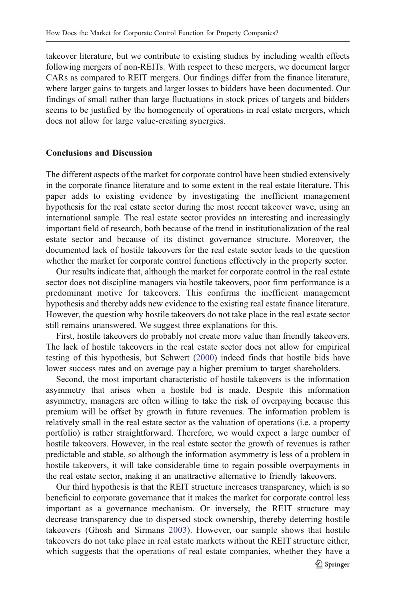<span id="page-18-0"></span>takeover literature, but we contribute to existing studies by including wealth effects following mergers of non-REITs. With respect to these mergers, we document larger CARs as compared to REIT mergers. Our findings differ from the finance literature, where larger gains to targets and larger losses to bidders have been documented. Our findings of small rather than large fluctuations in stock prices of targets and bidders seems to be justified by the homogeneity of operations in real estate mergers, which does not allow for large value-creating synergies.

### Conclusions and Discussion

The different aspects of the market for corporate control have been studied extensively in the corporate finance literature and to some extent in the real estate literature. This paper adds to existing evidence by investigating the inefficient management hypothesis for the real estate sector during the most recent takeover wave, using an international sample. The real estate sector provides an interesting and increasingly important field of research, both because of the trend in institutionalization of the real estate sector and because of its distinct governance structure. Moreover, the documented lack of hostile takeovers for the real estate sector leads to the question whether the market for corporate control functions effectively in the property sector.

Our results indicate that, although the market for corporate control in the real estate sector does not discipline managers via hostile takeovers, poor firm performance is a predominant motive for takeovers. This confirms the inefficient management hypothesis and thereby adds new evidence to the existing real estate finance literature. However, the question why hostile takeovers do not take place in the real estate sector still remains unanswered. We suggest three explanations for this.

First, hostile takeovers do probably not create more value than friendly takeovers. The lack of hostile takeovers in the real estate sector does not allow for empirical testing of this hypothesis, but Schwert ([2000\)](#page-22-0) indeed finds that hostile bids have lower success rates and on average pay a higher premium to target shareholders.

Second, the most important characteristic of hostile takeovers is the information asymmetry that arises when a hostile bid is made. Despite this information asymmetry, managers are often willing to take the risk of overpaying because this premium will be offset by growth in future revenues. The information problem is relatively small in the real estate sector as the valuation of operations (i.e. a property portfolio) is rather straightforward. Therefore, we would expect a large number of hostile takeovers. However, in the real estate sector the growth of revenues is rather predictable and stable, so although the information asymmetry is less of a problem in hostile takeovers, it will take considerable time to regain possible overpayments in the real estate sector, making it an unattractive alternative to friendly takeovers.

Our third hypothesis is that the REIT structure increases transparency, which is so beneficial to corporate governance that it makes the market for corporate control less important as a governance mechanism. Or inversely, the REIT structure may decrease transparency due to dispersed stock ownership, thereby deterring hostile takeovers (Ghosh and Sirmans [2003\)](#page-21-0). However, our sample shows that hostile takeovers do not take place in real estate markets without the REIT structure either, which suggests that the operations of real estate companies, whether they have a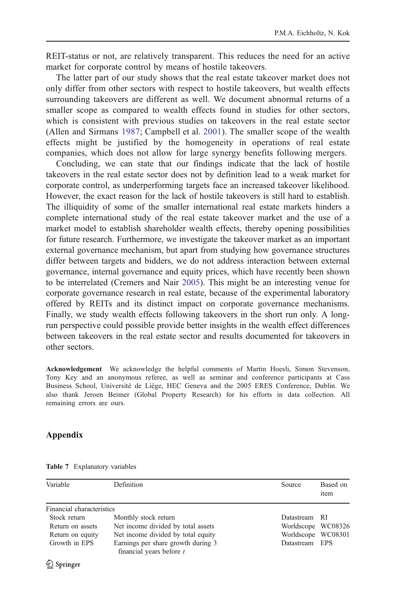<span id="page-19-0"></span>REIT-status or not, are relatively transparent. This reduces the need for an active market for corporate control by means of hostile takeovers.

The latter part of our study shows that the real estate takeover market does not only differ from other sectors with respect to hostile takeovers, but wealth effects surrounding takeovers are different as well. We document abnormal returns of a smaller scope as compared to wealth effects found in studies for other sectors, which is consistent with previous studies on takeovers in the real estate sector (Allen and Sirmans [1987](#page-20-0); Campbell et al. [2001](#page-21-0)). The smaller scope of the wealth effects might be justified by the homogeneity in operations of real estate companies, which does not allow for large synergy benefits following mergers.

Concluding, we can state that our findings indicate that the lack of hostile takeovers in the real estate sector does not by definition lead to a weak market for corporate control, as underperforming targets face an increased takeover likelihood. However, the exact reason for the lack of hostile takeovers is still hard to establish. The illiquidity of some of the smaller international real estate markets hinders a complete international study of the real estate takeover market and the use of a market model to establish shareholder wealth effects, thereby opening possibilities for future research. Furthermore, we investigate the takeover market as an important external governance mechanism, but apart from studying how governance structures differ between targets and bidders, we do not address interaction between external governance, internal governance and equity prices, which have recently been shown to be interrelated (Cremers and Nair [2005](#page-21-0)). This might be an interesting venue for corporate governance research in real estate, because of the experimental laboratory offered by REITs and its distinct impact on corporate governance mechanisms. Finally, we study wealth effects following takeovers in the short run only. A longrun perspective could possible provide better insights in the wealth effect differences between takeovers in the real estate sector and results documented for takeovers in other sectors.

Acknowledgement We acknowledge the helpful comments of Martin Hoesli, Simon Stevenson, Tony Key and an anonymous referee, as well as seminar and conference participants at Cass Business School, Université de Liège, HEC Geneva and the 2005 ERES Conference, Dublin. We also thank Jeroen Beimer (Global Property Research) for his efforts in data collection. All remaining errors are ours.

### Appendix

| Variable                  | Definition                                                       | Source             | Based on<br>item |
|---------------------------|------------------------------------------------------------------|--------------------|------------------|
| Financial characteristics |                                                                  |                    |                  |
| Stock return              | Monthly stock return                                             | Datastream         | - RI             |
| Return on assets          | Net income divided by total assets                               | Worldscope WC08326 |                  |
| Return on equity          | Net income divided by total equity                               | Worldscope WC08301 |                  |
| Growth in EPS             | Earnings per share growth during 3<br>financial years before $t$ | Datastream         | EPS              |

Table 7 Explanatory variables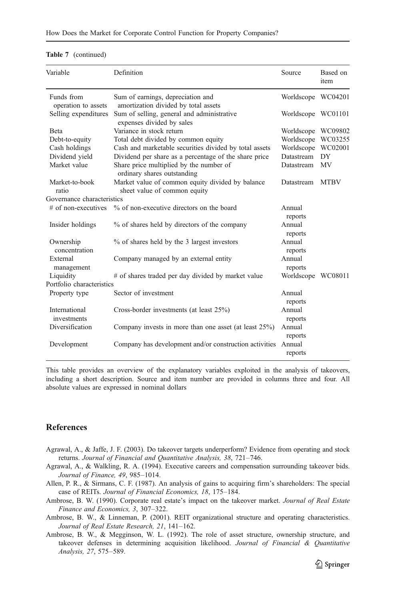#### <span id="page-20-0"></span>Table 7 (continued)

| Variable                          | Definition                                                                       | Source             | Based on<br>item |
|-----------------------------------|----------------------------------------------------------------------------------|--------------------|------------------|
| Funds from<br>operation to assets | Sum of earnings, depreciation and<br>amortization divided by total assets        | Worldscope WC04201 |                  |
| Selling expenditures              | Sum of selling, general and administrative<br>expenses divided by sales          | Worldscope WC01101 |                  |
| <b>B</b> eta                      | Variance in stock return                                                         | Worldscope WC09802 |                  |
| Debt-to-equity                    | Total debt divided by common equity                                              | Worldscope         | WC03255          |
| Cash holdings                     | Cash and marketable securities divided by total assets                           | Worldscope         | WC02001          |
| Dividend yield                    | Dividend per share as a percentage of the share price                            | Datastream         | DY               |
| Market value                      | Share price multiplied by the number of<br>ordinary shares outstanding           | Datastream         | MV               |
| Market-to-book<br>ratio           | Market value of common equity divided by balance<br>sheet value of common equity | Datastream         | <b>MTBV</b>      |
| Governance characteristics        |                                                                                  |                    |                  |
| # of non-executives               | % of non-executive directors on the board                                        | Annual<br>reports  |                  |
| Insider holdings                  | % of shares held by directors of the company                                     | Annual<br>reports  |                  |
| Ownership<br>concentration        | % of shares held by the 3 largest investors                                      | Annual<br>reports  |                  |
| External<br>management            | Company managed by an external entity                                            | Annual<br>reports  |                  |
| Liquidity                         | # of shares traded per day divided by market value                               | Worldscope WC08011 |                  |
| Portfolio characteristics         |                                                                                  |                    |                  |
| Property type                     | Sector of investment                                                             | Annual<br>reports  |                  |
| International<br>investments      | Cross-border investments (at least 25%)                                          | Annual<br>reports  |                  |
| Diversification                   | Company invests in more than one asset (at least 25%)                            | Annual<br>reports  |                  |
| Development                       | Company has development and/or construction activities                           | Annual<br>reports  |                  |

This table provides an overview of the explanatory variables exploited in the analysis of takeovers, including a short description. Source and item number are provided in columns three and four. All absolute values are expressed in nominal dollars

#### References

- Agrawal, A., & Jaffe, J. F. (2003). Do takeover targets underperform? Evidence from operating and stock returns. Journal of Financial and Quantitative Analysis, 38, 721–746.
- Agrawal, A., & Walkling, R. A. (1994). Executive careers and compensation surrounding takeover bids. Journal of Finance, 49, 985–1014.
- Allen, P. R., & Sirmans, C. F. (1987). An analysis of gains to acquiring firm's shareholders: The special case of REITs. Journal of Financial Economics, 18, 175–184.
- Ambrose, B. W. (1990). Corporate real estate's impact on the takeover market. Journal of Real Estate Finance and Economics, 3, 307–322.
- Ambrose, B. W., & Linneman, P. (2001). REIT organizational structure and operating characteristics. Journal of Real Estate Research, 21, 141–162.
- Ambrose, B. W., & Megginson, W. L. (1992). The role of asset structure, ownership structure, and takeover defenses in determining acquisition likelihood. Journal of Financial & Quantitative Analysis, 27, 575–589.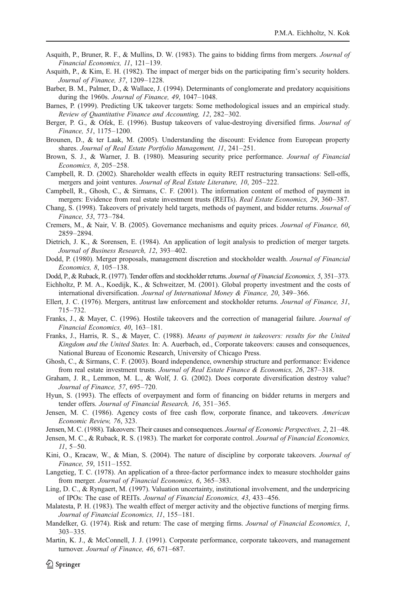- <span id="page-21-0"></span>Asquith, P., Bruner, R. F., & Mullins, D. W. (1983). The gains to bidding firms from mergers. Journal of Financial Economics, 11, 121–139.
- Asquith, P., & Kim, E. H. (1982). The impact of merger bids on the participating firm's security holders. Journal of Finance, 37, 1209–1228.
- Barber, B. M., Palmer, D., & Wallace, J. (1994). Determinants of conglomerate and predatory acquisitions during the 1960s. Journal of Finance, 49, 1047–1048.
- Barnes, P. (1999). Predicting UK takeover targets: Some methodological issues and an empirical study. Review of Quantitative Finance and Accounting, 12, 282–302.
- Berger, P. G., & Ofek, E. (1996). Bustup takeovers of value-destroying diversified firms. Journal of Finance, 51, 1175–1200.
- Brounen, D., & ter Laak, M. (2005). Understanding the discount: Evidence from European property shares. Journal of Real Estate Portfolio Management, 11, 241–251.
- Brown, S. J., & Warner, J. B. (1980). Measuring security price performance. Journal of Financial Economics, 8, 205–258.
- Campbell, R. D. (2002). Shareholder wealth effects in equity REIT restructuring transactions: Sell-offs, mergers and joint ventures. Journal of Real Estate Literature, 10, 205–222.
- Campbell, R., Ghosh, C., & Sirmans, C. F. (2001). The information content of method of payment in mergers: Evidence from real estate investment trusts (REITs). Real Estate Economics, 29, 360–387.
- Chang, S. (1998). Takeovers of privately held targets, methods of payment, and bidder returns. Journal of Finance, 53, 773–784.
- Cremers, M., & Nair, V. B. (2005). Governance mechanisms and equity prices. Journal of Finance, 60, 2859–2894.
- Dietrich, J. K., & Sorensen, E. (1984). An application of logit analysis to prediction of merger targets. Journal of Business Research, 12, 393–402.
- Dodd, P. (1980). Merger proposals, management discretion and stockholder wealth. Journal of Financial Economics, 8, 105–138.
- Dodd, P., & Ruback, R. (1977). Tender offers and stockholder returns. Journal of Financial Economics, 5, 351–373.

Eichholtz, P. M. A., Koedijk, K., & Schweitzer, M. (2001). Global property investment and the costs of international diversification. Journal of International Money & Finance, 20, 349–366.

- Ellert, J. C. (1976). Mergers, antitrust law enforcement and stockholder returns. Journal of Finance, 31, 715–732.
- Franks, J., & Mayer, C. (1996). Hostile takeovers and the correction of managerial failure. Journal of Financial Economics, 40, 163–181.
- Franks, J., Harris, R. S., & Mayer, C. (1988). Means of payment in takeovers: results for the United Kingdom and the United States. In: A. Auerbach, ed., Corporate takeovers: causes and consequences, National Bureau of Economic Research, University of Chicago Press.
- Ghosh, C., & Sirmans, C. F. (2003). Board independence, ownership structure and performance: Evidence from real estate investment trusts. Journal of Real Estate Finance & Economics, 26, 287–318.
- Graham, J. R., Lemmon, M. L., & Wolf, J. G. (2002). Does corporate diversification destroy value? Journal of Finance, 57, 695–720.
- Hyun, S. (1993). The effects of overpayment and form of financing on bidder returns in mergers and tender offers. Journal of Financial Research, 16, 351–365.
- Jensen, M. C. (1986). Agency costs of free cash flow, corporate finance, and takeovers. American Economic Review, 76, 323.
- Jensen, M. C. (1988). Takeovers: Their causes and consequences. Journal of Economic Perspectives, 2, 21–48.
- Jensen, M. C., & Ruback, R. S. (1983). The market for corporate control. Journal of Financial Economics, 11, 5–50.
- Kini, O., Kracaw, W., & Mian, S. (2004). The nature of discipline by corporate takeovers. Journal of Finance, 59, 1511–1552.
- Langetieg, T. C. (1978). An application of a three-factor performance index to measure stochholder gains from merger. Journal of Financial Economics, 6, 365–383.
- Ling, D. C., & Ryngaert, M. (1997). Valuation uncertainty, institutional involvement, and the underpricing of IPOs: The case of REITs. Journal of Financial Economics, 43, 433–456.
- Malatesta, P. H. (1983). The wealth effect of merger activity and the objective functions of merging firms. Journal of Financial Economics, 11, 155–181.
- Mandelker, G. (1974). Risk and return: The case of merging firms. Journal of Financial Economics, 1, 303–335.
- Martin, K. J., & McConnell, J. J. (1991). Corporate performance, corporate takeovers, and management turnover. Journal of Finance, 46, 671-687.

 $\textcircled{2}$  Springer